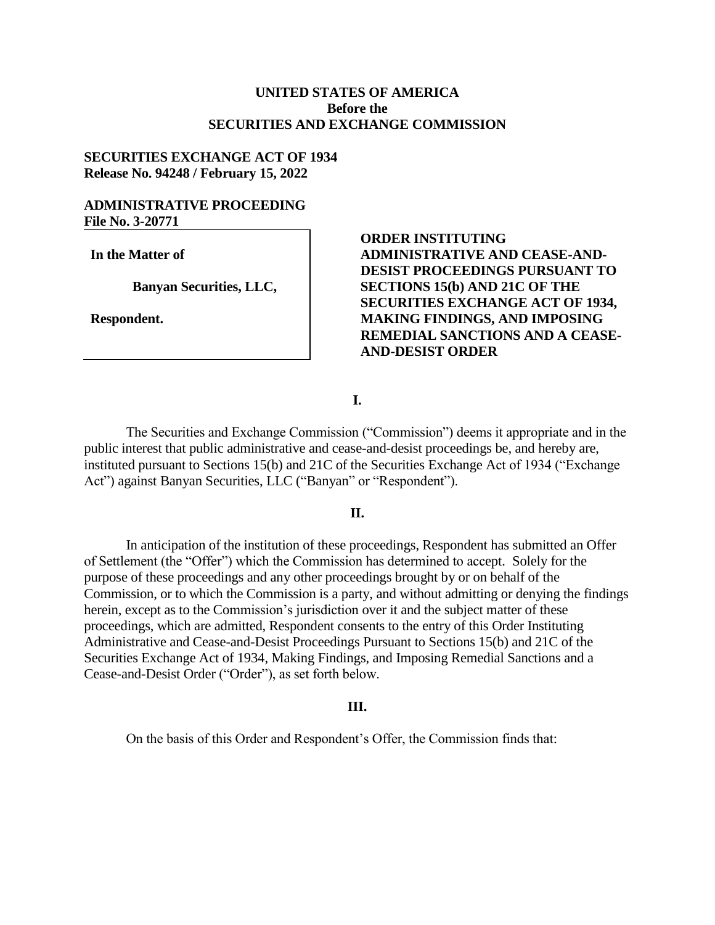## **UNITED STATES OF AMERICA Before the SECURITIES AND EXCHANGE COMMISSION**

## **SECURITIES EXCHANGE ACT OF 1934 Release No. 94248 / February 15, 2022**

## **ADMINISTRATIVE PROCEEDING File No. 3-20771**

**In the Matter of**

**Banyan Securities, LLC,**

**Respondent.**

# **ORDER INSTITUTING ADMINISTRATIVE AND CEASE-AND-DESIST PROCEEDINGS PURSUANT TO SECTIONS 15(b) AND 21C OF THE SECURITIES EXCHANGE ACT OF 1934, MAKING FINDINGS, AND IMPOSING REMEDIAL SANCTIONS AND A CEASE-AND-DESIST ORDER**

### **I.**

The Securities and Exchange Commission ("Commission") deems it appropriate and in the public interest that public administrative and cease-and-desist proceedings be, and hereby are, instituted pursuant to Sections 15(b) and 21C of the Securities Exchange Act of 1934 ("Exchange Act") against Banyan Securities, LLC ("Banyan" or "Respondent").

### **II.**

In anticipation of the institution of these proceedings, Respondent has submitted an Offer of Settlement (the "Offer") which the Commission has determined to accept. Solely for the purpose of these proceedings and any other proceedings brought by or on behalf of the Commission, or to which the Commission is a party, and without admitting or denying the findings herein, except as to the Commission's jurisdiction over it and the subject matter of these proceedings, which are admitted, Respondent consents to the entry of this Order Instituting Administrative and Cease-and-Desist Proceedings Pursuant to Sections 15(b) and 21C of the Securities Exchange Act of 1934, Making Findings, and Imposing Remedial Sanctions and a Cease-and-Desist Order ("Order"), as set forth below.

#### **III.**

On the basis of this Order and Respondent's Offer, the Commission finds that: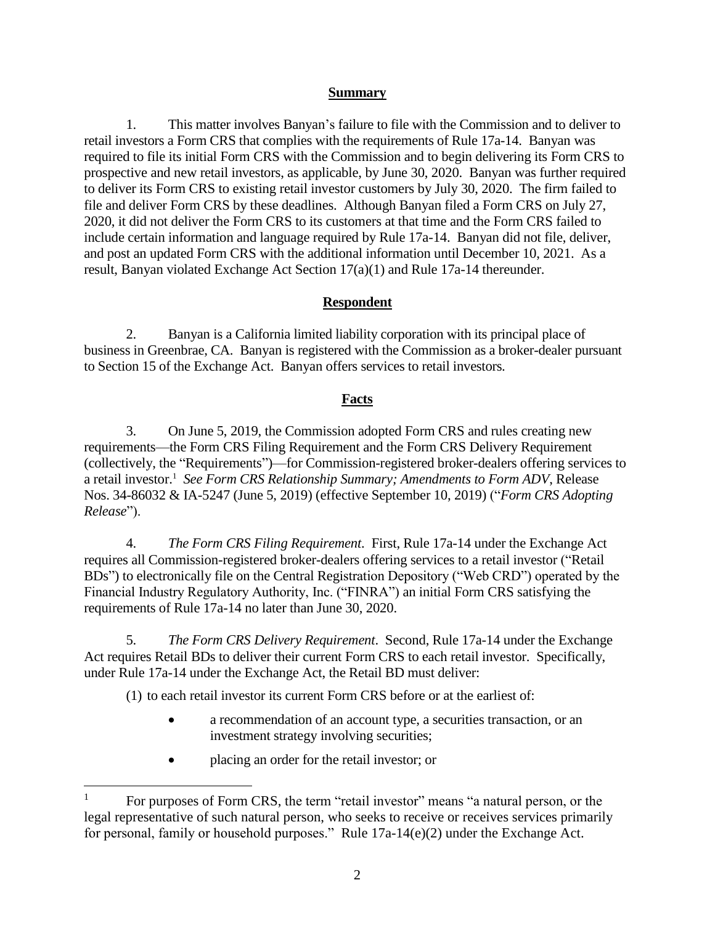## **Summary**

1. This matter involves Banyan's failure to file with the Commission and to deliver to retail investors a Form CRS that complies with the requirements of Rule 17a-14. Banyan was required to file its initial Form CRS with the Commission and to begin delivering its Form CRS to prospective and new retail investors, as applicable, by June 30, 2020. Banyan was further required to deliver its Form CRS to existing retail investor customers by July 30, 2020. The firm failed to file and deliver Form CRS by these deadlines. Although Banyan filed a Form CRS on July 27, 2020, it did not deliver the Form CRS to its customers at that time and the Form CRS failed to include certain information and language required by Rule 17a-14. Banyan did not file, deliver, and post an updated Form CRS with the additional information until December 10, 2021. As a result, Banyan violated Exchange Act Section 17(a)(1) and Rule 17a-14 thereunder.

# **Respondent**

2. Banyan is a California limited liability corporation with its principal place of business in Greenbrae, CA. Banyan is registered with the Commission as a broker-dealer pursuant to Section 15 of the Exchange Act. Banyan offers services to retail investors.

# **Facts**

3. On June 5, 2019, the Commission adopted Form CRS and rules creating new requirements—the Form CRS Filing Requirement and the Form CRS Delivery Requirement (collectively, the "Requirements")—for Commission-registered broker-dealers offering services to a retail investor. 1 *See Form CRS Relationship Summary; Amendments to Form ADV*, Release Nos. 34-86032 & IA-5247 (June 5, 2019) (effective September 10, 2019) ("*Form CRS Adopting Release*").

4. *The Form CRS Filing Requirement*. First, Rule 17a-14 under the Exchange Act requires all Commission-registered broker-dealers offering services to a retail investor ("Retail BDs") to electronically file on the Central Registration Depository ("Web CRD") operated by the Financial Industry Regulatory Authority, Inc. ("FINRA") an initial Form CRS satisfying the requirements of Rule 17a-14 no later than June 30, 2020.

5. *The Form CRS Delivery Requirement*. Second, Rule 17a-14 under the Exchange Act requires Retail BDs to deliver their current Form CRS to each retail investor. Specifically, under Rule 17a-14 under the Exchange Act, the Retail BD must deliver:

(1) to each retail investor its current Form CRS before or at the earliest of:

- a recommendation of an account type, a securities transaction, or an investment strategy involving securities;
- placing an order for the retail investor; or

 $\overline{a}$ 

<sup>&</sup>lt;sup>1</sup> For purposes of Form CRS, the term "retail investor" means "a natural person, or the legal representative of such natural person, who seeks to receive or receives services primarily for personal, family or household purposes." Rule 17a-14(e)(2) under the Exchange Act.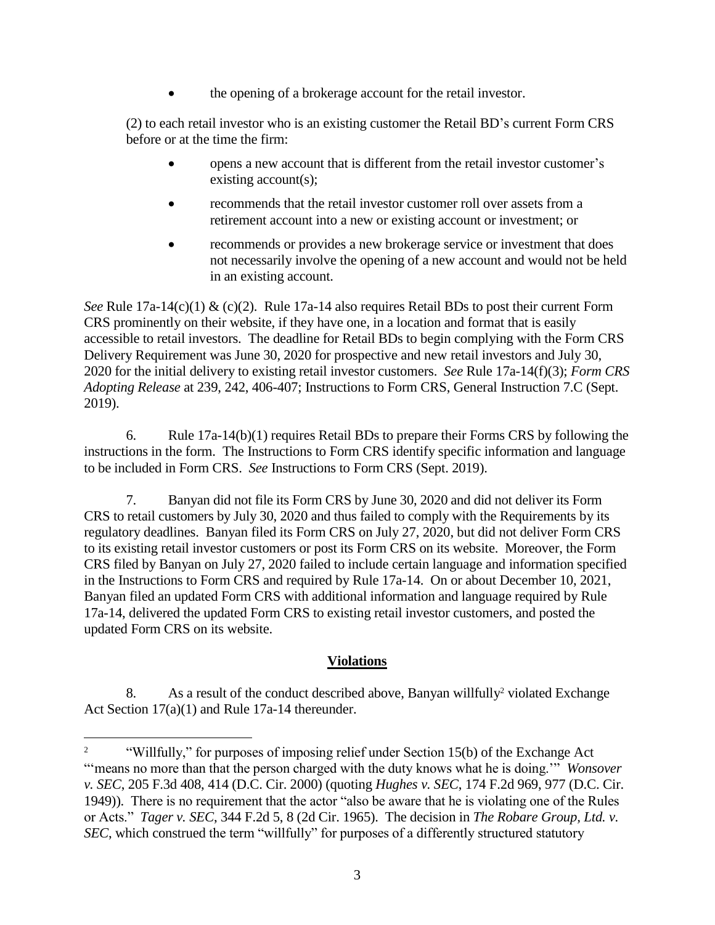the opening of a brokerage account for the retail investor.

(2) to each retail investor who is an existing customer the Retail BD's current Form CRS before or at the time the firm:

- opens a new account that is different from the retail investor customer's existing account(s);
- recommends that the retail investor customer roll over assets from a retirement account into a new or existing account or investment; or
- recommends or provides a new brokerage service or investment that does not necessarily involve the opening of a new account and would not be held in an existing account.

*See* Rule 17a-14(c)(1) & (c)(2). Rule 17a-14 also requires Retail BDs to post their current Form CRS prominently on their website, if they have one, in a location and format that is easily accessible to retail investors. The deadline for Retail BDs to begin complying with the Form CRS Delivery Requirement was June 30, 2020 for prospective and new retail investors and July 30, 2020 for the initial delivery to existing retail investor customers. *See* Rule 17a-14(f)(3); *Form CRS Adopting Release* at 239, 242, 406-407; Instructions to Form CRS, General Instruction 7.C (Sept. 2019).

6. Rule 17a-14(b)(1) requires Retail BDs to prepare their Forms CRS by following the instructions in the form. The Instructions to Form CRS identify specific information and language to be included in Form CRS. *See* Instructions to Form CRS (Sept. 2019).

7. Banyan did not file its Form CRS by June 30, 2020 and did not deliver its Form CRS to retail customers by July 30, 2020 and thus failed to comply with the Requirements by its regulatory deadlines. Banyan filed its Form CRS on July 27, 2020, but did not deliver Form CRS to its existing retail investor customers or post its Form CRS on its website. Moreover, the Form CRS filed by Banyan on July 27, 2020 failed to include certain language and information specified in the Instructions to Form CRS and required by Rule 17a-14. On or about December 10, 2021, Banyan filed an updated Form CRS with additional information and language required by Rule 17a-14, delivered the updated Form CRS to existing retail investor customers, and posted the updated Form CRS on its website.

# **Violations**

8. As a result of the conduct described above, Banyan willfully<sup>2</sup> violated Exchange Act Section 17(a)(1) and Rule 17a-14 thereunder.

 $\overline{a}$ 

<sup>&</sup>lt;sup>2</sup> "Willfully," for purposes of imposing relief under Section 15(b) of the Exchange Act "means no more than that the person charged with the duty knows what he is doing."" *Wonsover v. SEC*, 205 F.3d 408, 414 (D.C. Cir. 2000) (quoting *Hughes v. SEC*, 174 F.2d 969, 977 (D.C. Cir. 1949)). There is no requirement that the actor "also be aware that he is violating one of the Rules or Acts." *Tager v. SEC*, 344 F.2d 5, 8 (2d Cir. 1965). The decision in *The Robare Group, Ltd. v. SEC*, which construed the term "willfully" for purposes of a differently structured statutory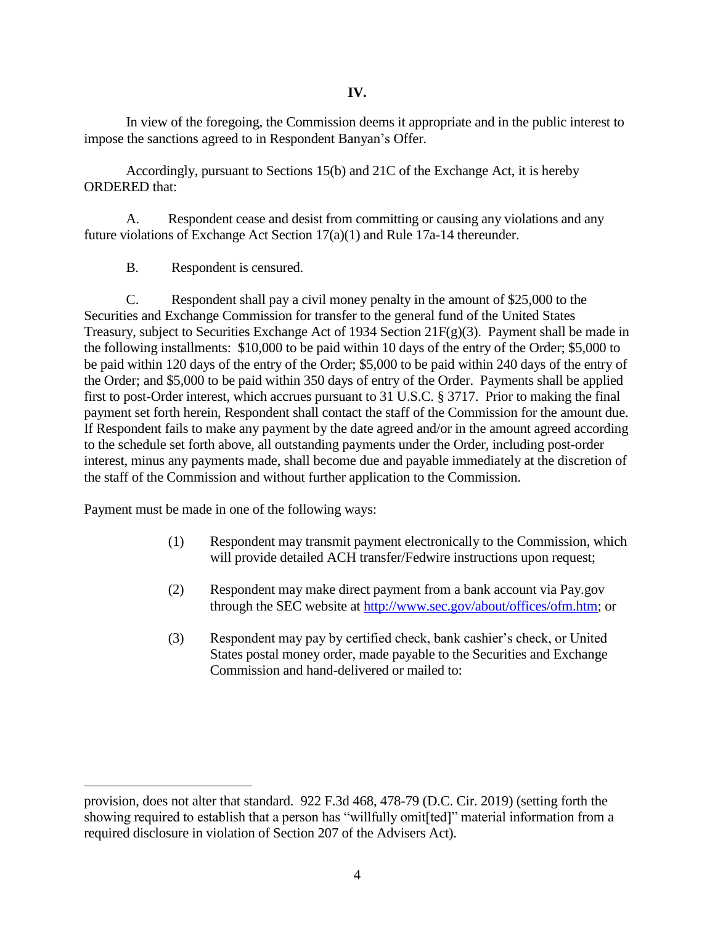In view of the foregoing, the Commission deems it appropriate and in the public interest to impose the sanctions agreed to in Respondent Banyan's Offer.

Accordingly, pursuant to Sections 15(b) and 21C of the Exchange Act, it is hereby ORDERED that:

A. Respondent cease and desist from committing or causing any violations and any future violations of Exchange Act Section 17(a)(1) and Rule 17a-14 thereunder.

B. Respondent is censured.

C. Respondent shall pay a civil money penalty in the amount of \$25,000 to the Securities and Exchange Commission for transfer to the general fund of the United States Treasury, subject to Securities Exchange Act of 1934 Section 21F(g)(3). Payment shall be made in the following installments: \$10,000 to be paid within 10 days of the entry of the Order; \$5,000 to be paid within 120 days of the entry of the Order; \$5,000 to be paid within 240 days of the entry of the Order; and \$5,000 to be paid within 350 days of entry of the Order. Payments shall be applied first to post-Order interest, which accrues pursuant to 31 U.S.C. § 3717. Prior to making the final payment set forth herein, Respondent shall contact the staff of the Commission for the amount due. If Respondent fails to make any payment by the date agreed and/or in the amount agreed according to the schedule set forth above, all outstanding payments under the Order, including post-order interest, minus any payments made, shall become due and payable immediately at the discretion of the staff of the Commission and without further application to the Commission.

Payment must be made in one of the following ways:

 $\overline{a}$ 

- (1) Respondent may transmit payment electronically to the Commission, which will provide detailed ACH transfer/Fedwire instructions upon request;
- (2) Respondent may make direct payment from a bank account via Pay.gov through the SEC website at [http://www.sec.gov/about/offices/ofm.htm;](http://www.sec.gov/about/offices/ofm.htm) or
- (3) Respondent may pay by certified check, bank cashier's check, or United States postal money order, made payable to the Securities and Exchange Commission and hand-delivered or mailed to:

provision, does not alter that standard. 922 F.3d 468, 478-79 (D.C. Cir. 2019) (setting forth the showing required to establish that a person has "willfully omit[ted]" material information from a required disclosure in violation of Section 207 of the Advisers Act).